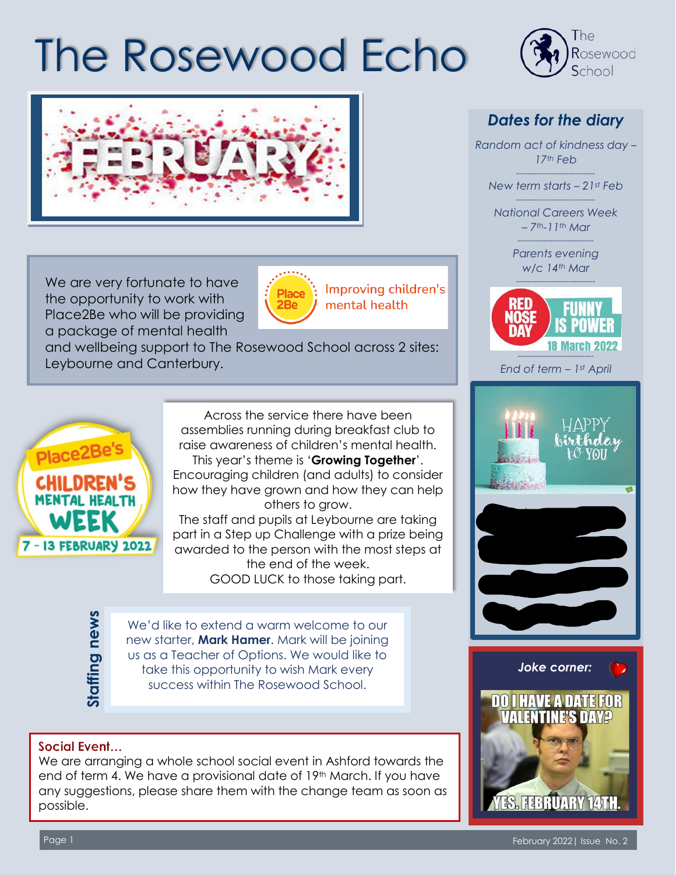## The Rosewood Echo



We are very fortunate to have the opportunity to work with Place2Be who will be providing a package of mental health



Improving children's mental health

and wellbeing support to The Rosewood School across 2 sites: Leybourne and Canterbury.



Across the service there have been assemblies running during breakfast club to raise awareness of children's mental health. This year's theme is '**Growing Together**'. Encouraging children (and adults) to consider how they have grown and how they can help others to grow.

The staff and pupils at Leybourne are taking part in a Step up Challenge with a prize being awarded to the person with the most steps at the end of the week. GOOD LUCK to those taking part.

Staffing news **Staffing news**

We'd like to extend a warm welcome to our new starter, **Mark Hamer**. Mark will be joining us as a Teacher of Options. We would like to take this opportunity to wish Mark every success within The Rosewood School.

## Social Event...

We are arranging a whole school social event in Ashford towards the end of term 4. We have a provisional date of 19<sup>th</sup> March. If you have any suggestions, please share them with the change team as soon as possible.



## *Dates for the diary*

*Random act of kindness day – 17th Feb*

*--------------------------- New term starts – 21st Feb*

*--------------------------- National Careers Week – 7th-11th Mar*

> *-------------------------- Parents evening w/c 14th Mar*



*End of term – 1st April*





L